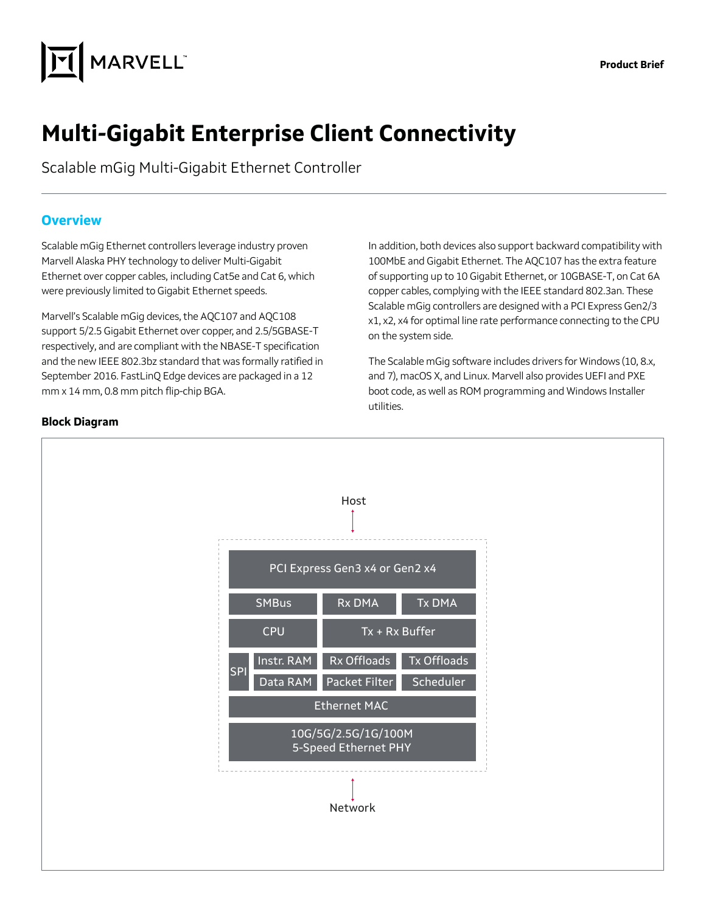

# **Multi-Gigabit Enterprise Client Connectivity**

Scalable mGig Multi-Gigabit Ethernet Controller

#### **Overview**

Scalable mGig Ethernet controllers leverage industry proven Marvell Alaska PHY technology to deliver Multi-Gigabit Ethernet over copper cables, including Cat5e and Cat 6, which were previously limited to Gigabit Ethernet speeds.

Marvell's Scalable mGig devices, the AQC107 and AQC108 support 5/2.5 Gigabit Ethernet over copper, and 2.5/5GBASE-T respectively, and are compliant with the NBASE-T specification and the new IEEE 802.3bz standard that was formally ratified in September 2016. FastLinQ Edge devices are packaged in a 12 mm x 14 mm, 0.8 mm pitch flip-chip BGA.

In addition, both devices also support backward compatibility with 100MbE and Gigabit Ethernet. The AQC107 has the extra feature of supporting up to 10 Gigabit Ethernet, or 10GBASE-T, on Cat 6A copper cables, complying with the IEEE standard 802.3an. These Scalable mGig controllers are designed with a PCI Express Gen2/3 x1, x2, x4 for optimal line rate performance connecting to the CPU on the system side.

The Scalable mGig software includes drivers for Windows (10, 8.x, and 7), macOS X, and Linux. Marvell also provides UEFI and PXE boot code, as well as ROM programming and Windows Installer utilities.



#### **Block Diagram**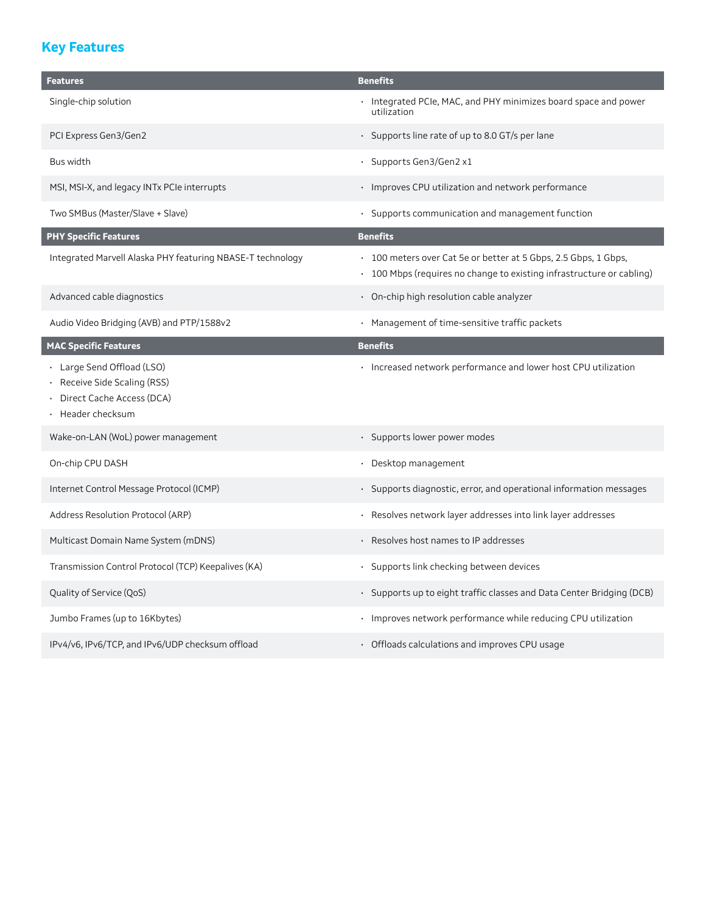# **Key Features**

| <b>Features</b>                                                                                          | <b>Benefits</b>                                                                                                                          |  |
|----------------------------------------------------------------------------------------------------------|------------------------------------------------------------------------------------------------------------------------------------------|--|
| Single-chip solution                                                                                     | · Integrated PCIe, MAC, and PHY minimizes board space and power<br>utilization                                                           |  |
| PCI Express Gen3/Gen2                                                                                    | · Supports line rate of up to 8.0 GT/s per lane                                                                                          |  |
| <b>Bus width</b>                                                                                         | · Supports Gen3/Gen2 x1                                                                                                                  |  |
| MSI, MSI-X, and legacy INTx PCIe interrupts                                                              | · Improves CPU utilization and network performance                                                                                       |  |
| Two SMBus (Master/Slave + Slave)                                                                         | · Supports communication and management function                                                                                         |  |
| <b>PHY Specific Features</b>                                                                             | <b>Benefits</b>                                                                                                                          |  |
| Integrated Marvell Alaska PHY featuring NBASE-T technology                                               | • 100 meters over Cat 5e or better at 5 Gbps, 2.5 Gbps, 1 Gbps,<br>• 100 Mbps (requires no change to existing infrastructure or cabling) |  |
| Advanced cable diagnostics                                                                               | · On-chip high resolution cable analyzer                                                                                                 |  |
| Audio Video Bridging (AVB) and PTP/1588v2                                                                | · Management of time-sensitive traffic packets                                                                                           |  |
| <b>MAC Specific Features</b>                                                                             | <b>Benefits</b>                                                                                                                          |  |
| · Large Send Offload (LSO)<br>Receive Side Scaling (RSS)<br>Direct Cache Access (DCA)<br>Header checksum | · Increased network performance and lower host CPU utilization                                                                           |  |
| Wake-on-LAN (WoL) power management                                                                       | · Supports lower power modes                                                                                                             |  |
| On-chip CPU DASH                                                                                         | · Desktop management                                                                                                                     |  |
| Internet Control Message Protocol (ICMP)                                                                 | · Supports diagnostic, error, and operational information messages                                                                       |  |
| Address Resolution Protocol (ARP)                                                                        | Resolves network layer addresses into link layer addresses<br>$\bullet$                                                                  |  |
| Multicast Domain Name System (mDNS)                                                                      | · Resolves host names to IP addresses                                                                                                    |  |
| Transmission Control Protocol (TCP) Keepalives (KA)                                                      | · Supports link checking between devices                                                                                                 |  |
| Quality of Service (QoS)                                                                                 | · Supports up to eight traffic classes and Data Center Bridging (DCB)                                                                    |  |
| Jumbo Frames (up to 16Kbytes)                                                                            | · Improves network performance while reducing CPU utilization                                                                            |  |
| IPv4/v6, IPv6/TCP, and IPv6/UDP checksum offload                                                         | • Offloads calculations and improves CPU usage                                                                                           |  |